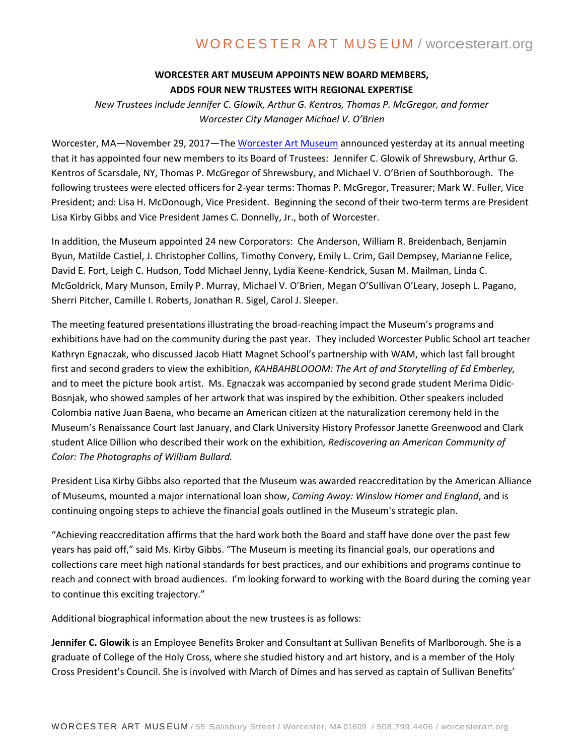# WORCESTER ART MUSEUM / worcesterart.org

## **WORCESTER ART MUSEUM APPOINTS NEW BOARD MEMBERS, ADDS FOUR NEW TRUSTEES WITH REGIONAL EXPERTISE**

*New Trustees include Jennifer C. Glowik, Arthur G. Kentros, Thomas P. McGregor, and former Worcester City Manager Michael V. O'Brien* 

Worcester, MA—November 29, 2017—Th[e Worcester Art Museum](http://www.worcesterart.org/) announced yesterday at its annual meeting that it has appointed four new members to its Board of Trustees: Jennifer C. Glowik of Shrewsbury, Arthur G. Kentros of Scarsdale, NY, Thomas P. McGregor of Shrewsbury, and Michael V. O'Brien of Southborough. The following trustees were elected officers for 2-year terms: Thomas P. McGregor, Treasurer; Mark W. Fuller, Vice President; and: Lisa H. McDonough, Vice President. Beginning the second of their two-term terms are President Lisa Kirby Gibbs and Vice President James C. Donnelly, Jr., both of Worcester.

In addition, the Museum appointed 24 new Corporators: Che Anderson, William R. Breidenbach, Benjamin Byun, Matilde Castiel, J. Christopher Collins, Timothy Convery, Emily L. Crim, Gail Dempsey, Marianne Felice, David E. Fort, Leigh C. Hudson, Todd Michael Jenny, Lydia Keene-Kendrick, Susan M. Mailman, Linda C. McGoldrick, Mary Munson, Emily P. Murray, Michael V. O'Brien, Megan O'Sullivan O'Leary, Joseph L. Pagano, Sherri Pitcher, Camille I. Roberts, Jonathan R. Sigel, Carol J. Sleeper.

The meeting featured presentations illustrating the broad-reaching impact the Museum's programs and exhibitions have had on the community during the past year. They included Worcester Public School art teacher Kathryn Egnaczak, who discussed Jacob Hiatt Magnet School's partnership with WAM, which last fall brought first and second graders to view the exhibition, *KAHBAHBLOOOM: The Art of and Storytelling of Ed Emberley,* and to meet the picture book artist. Ms. Egnaczak was accompanied by second grade student Merima Didic-Bosnjak, who showed samples of her artwork that was inspired by the exhibition. Other speakers included Colombia native Juan Baena, who became an American citizen at the naturalization ceremony held in the Museum's Renaissance Court last January, and Clark University History Professor Janette Greenwood and Clark student Alice Dillion who described their work on the exhibition*, Rediscovering an American Community of Color: The Photographs of William Bullard.* 

President Lisa Kirby Gibbs also reported that the Museum was awarded reaccreditation by the American Alliance of Museums, mounted a major international loan show, *Coming Away: Winslow Homer and England*, and is continuing ongoing steps to achieve the financial goals outlined in the Museum's strategic plan.

"Achieving reaccreditation affirms that the hard work both the Board and staff have done over the past few years has paid off," said Ms. Kirby Gibbs. "The Museum is meeting its financial goals, our operations and collections care meet high national standards for best practices, and our exhibitions and programs continue to reach and connect with broad audiences. I'm looking forward to working with the Board during the coming year to continue this exciting trajectory."

Additional biographical information about the new trustees is as follows:

**Jennifer C. Glowik** is an Employee Benefits Broker and Consultant at Sullivan Benefits of Marlborough. She is a graduate of College of the Holy Cross, where she studied history and art history, and is a member of the Holy Cross President's Council. She is involved with March of Dimes and has served as captain of Sullivan Benefits'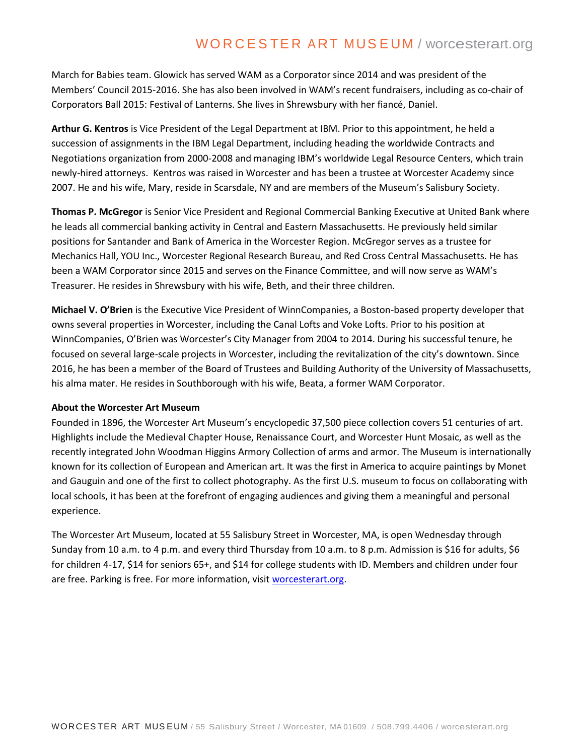## WORCESTER ART MUSEUM / worcesterart.org

March for Babies team. Glowick has served WAM as a Corporator since 2014 and was president of the Members' Council 2015-2016. She has also been involved in WAM's recent fundraisers, including as co-chair of Corporators Ball 2015: Festival of Lanterns. She lives in Shrewsbury with her fiancé, Daniel.

**Arthur G. Kentros** is Vice President of the Legal Department at IBM. Prior to this appointment, he held a succession of assignments in the IBM Legal Department, including heading the worldwide Contracts and Negotiations organization from 2000-2008 and managing IBM's worldwide Legal Resource Centers, which train newly-hired attorneys. Kentros was raised in Worcester and has been a trustee at Worcester Academy since 2007. He and his wife, Mary, reside in Scarsdale, NY and are members of the Museum's Salisbury Society.

**Thomas P. McGregor** is Senior Vice President and Regional Commercial Banking Executive at United Bank where he leads all commercial banking activity in Central and Eastern Massachusetts. He previously held similar positions for Santander and Bank of America in the Worcester Region. McGregor serves as a trustee for Mechanics Hall, YOU Inc., Worcester Regional Research Bureau, and Red Cross Central Massachusetts. He has been a WAM Corporator since 2015 and serves on the Finance Committee, and will now serve as WAM's Treasurer. He resides in Shrewsbury with his wife, Beth, and their three children.

**Michael V. O'Brien** is the Executive Vice President of WinnCompanies, a Boston-based property developer that owns several properties in Worcester, including the Canal Lofts and Voke Lofts. Prior to his position at WinnCompanies, O'Brien was Worcester's City Manager from 2004 to 2014. During his successful tenure, he focused on several large-scale projects in Worcester, including the revitalization of the city's downtown. Since 2016, he has been a member of the Board of Trustees and Building Authority of the University of Massachusetts, his alma mater. He resides in Southborough with his wife, Beata, a former WAM Corporator.

#### **About the Worcester Art Museum**

Founded in 1896, the Worcester Art Museum's encyclopedic 37,500 piece collection covers 51 centuries of art. Highlights include the Medieval Chapter House, Renaissance Court, and Worcester Hunt Mosaic, as well as the recently integrated John Woodman Higgins Armory Collection of arms and armor. The Museum is internationally known for its collection of European and American art. It was the first in America to acquire paintings by Monet and Gauguin and one of the first to collect photography. As the first U.S. museum to focus on collaborating with local schools, it has been at the forefront of engaging audiences and giving them a meaningful and personal experience.

The Worcester Art Museum, located at 55 Salisbury Street in Worcester, MA, is open Wednesday through Sunday from 10 a.m. to 4 p.m. and every third Thursday from 10 a.m. to 8 p.m. Admission is \$16 for adults, \$6 for children 4-17, \$14 for seniors 65+, and \$14 for college students with ID. Members and children under four are free. Parking is free. For more information, visit [worcesterart.org.](http://www.worcesterart.org/)